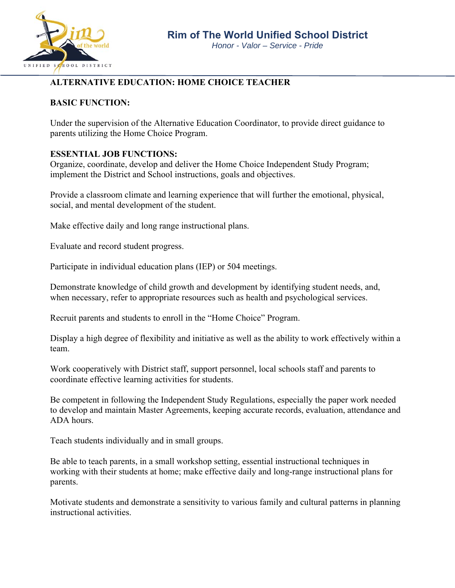

# **ALTERNATIVE EDUCATION: HOME CHOICE TEACHER**

#### **BASIC FUNCTION:**

Under the supervision of the Alternative Education Coordinator, to provide direct guidance to parents utilizing the Home Choice Program.

#### **ESSENTIAL JOB FUNCTIONS:**

Organize, coordinate, develop and deliver the Home Choice Independent Study Program; implement the District and School instructions, goals and objectives.

Provide a classroom climate and learning experience that will further the emotional, physical, social, and mental development of the student.

Make effective daily and long range instructional plans.

Evaluate and record student progress.

Participate in individual education plans (IEP) or 504 meetings.

Demonstrate knowledge of child growth and development by identifying student needs, and, when necessary, refer to appropriate resources such as health and psychological services.

Recruit parents and students to enroll in the "Home Choice" Program.

Display a high degree of flexibility and initiative as well as the ability to work effectively within a team.

Work cooperatively with District staff, support personnel, local schools staff and parents to coordinate effective learning activities for students.

Be competent in following the Independent Study Regulations, especially the paper work needed to develop and maintain Master Agreements, keeping accurate records, evaluation, attendance and ADA hours.

Teach students individually and in small groups.

Be able to teach parents, in a small workshop setting, essential instructional techniques in working with their students at home; make effective daily and long-range instructional plans for parents.

Motivate students and demonstrate a sensitivity to various family and cultural patterns in planning instructional activities.